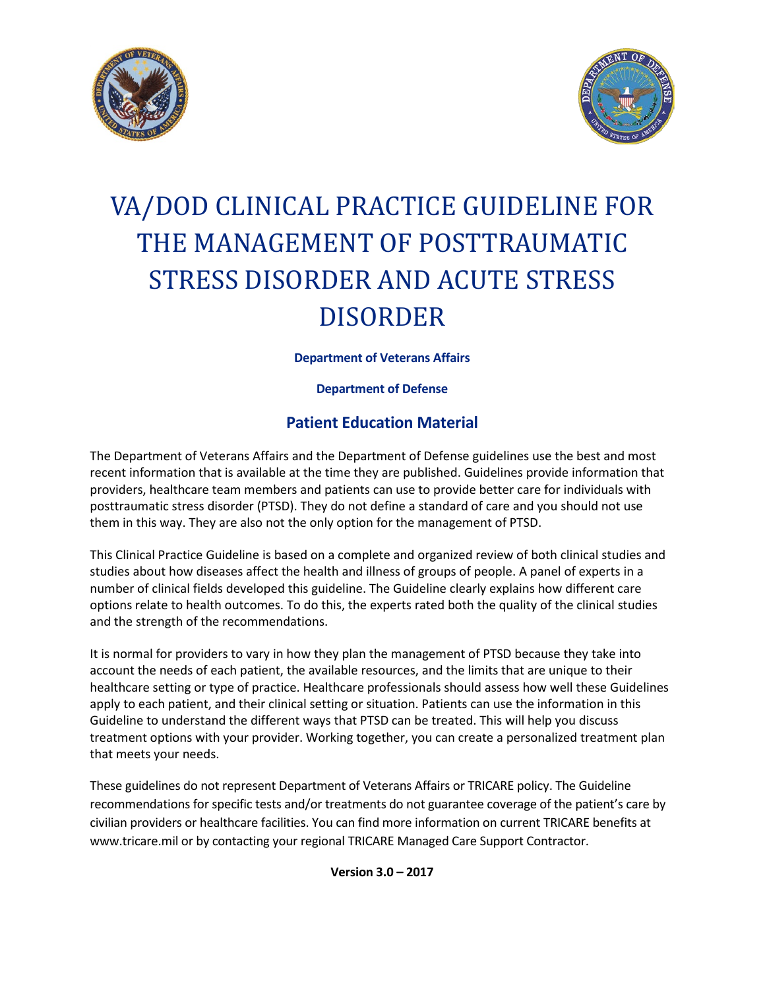



# VA/DOD CLINICAL PRACTICE GUIDELINE FOR THE MANAGEMENT OF POSTTRAUMATIC STRESS DISORDER AND ACUTE STRESS DISORDER

**Department of Veterans Affairs**

**Department of Defense**

## **Patient Education Material**

The Department of Veterans Affairs and the Department of Defense guidelines use the best and most recent information that is available at the time they are published. Guidelines provide information that providers, healthcare team members and patients can use to provide better care for individuals with posttraumatic stress disorder (PTSD). They do not define a standard of care and you should not use them in this way. They are also not the only option for the management of PTSD.

This Clinical Practice Guideline is based on a complete and organized review of both clinical studies and studies about how diseases affect the health and illness of groups of people. A panel of experts in a number of clinical fields developed this guideline. The Guideline clearly explains how different care options relate to health outcomes. To do this, the experts rated both the quality of the clinical studies and the strength of the recommendations.

It is normal for providers to vary in how they plan the management of PTSD because they take into account the needs of each patient, the available resources, and the limits that are unique to their healthcare setting or type of practice. Healthcare professionals should assess how well these Guidelines apply to each patient, and their clinical setting or situation. Patients can use the information in this Guideline to understand the different ways that PTSD can be treated. This will help you discuss treatment options with your provider. Working together, you can create a personalized treatment plan that meets your needs.

These guidelines do not represent Department of Veterans Affairs or TRICARE policy. The Guideline recommendations for specific tests and/or treatments do not guarantee coverage of the patient's care by civilian providers or healthcare facilities. You can find more information on current TRICARE benefits at www.tricare.mil or by contacting your regional TRICARE Managed Care Support Contractor.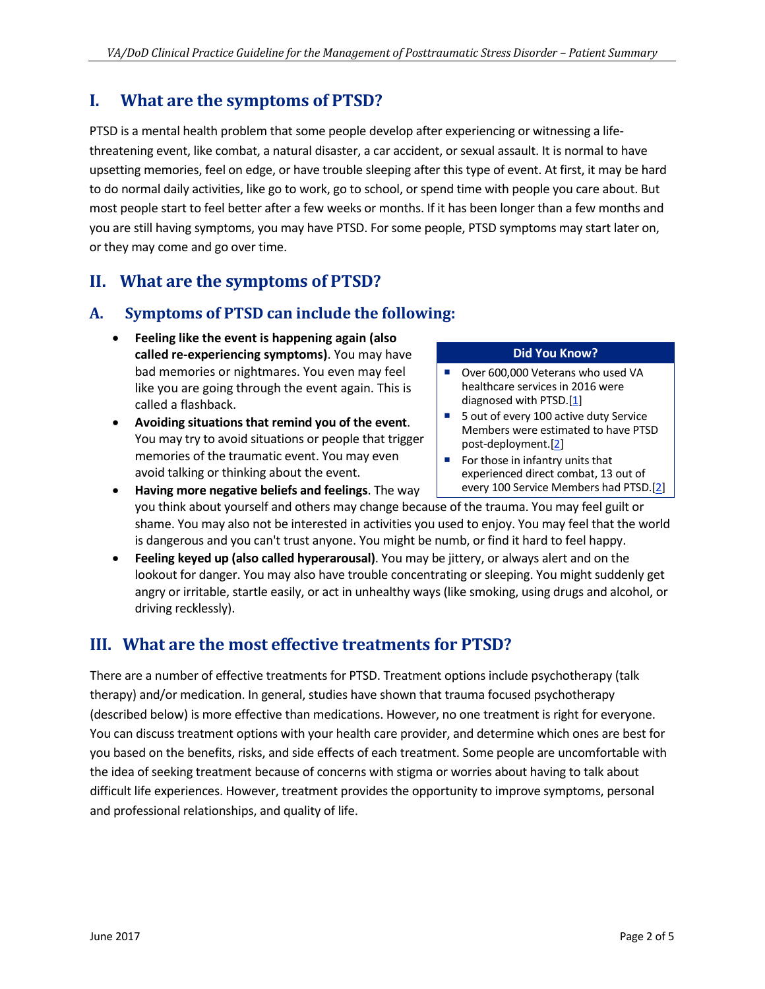## **I. What are the symptoms of PTSD?**

PTSD is a mental health problem that some people develop after experiencing or witnessing a lifethreatening event, like combat, a natural disaster, a car accident, or sexual assault. It is normal to have upsetting memories, feel on edge, or have trouble sleeping after this type of event. At first, it may be hard to do normal daily activities, like go to work, go to school, or spend time with people you care about. But most people start to feel better after a few weeks or months. If it has been longer than a few months and you are still having symptoms, you may have PTSD. For some people, PTSD symptoms may start later on, or they may come and go over time.

## **II. What are the symptoms of PTSD?**

#### **A. Symptoms of PTSD can include the following:**

- **Feeling like the event is happening again (also called re-experiencing symptoms)**. You may have bad memories or nightmares. You even may feel like you are going through the event again. This is called a flashback.
- **Avoiding situations that remind you of the event**. You may try to avoid situations or people that trigger memories of the traumatic event. You may even avoid talking or thinking about the event.
- **Having more negative beliefs and feelings**. The way

#### **Did You Know?**

- Over 600,000 Veterans who used VA healthcare services in 2016 were diagnosed with PTSD. $[1]$
- 5 out of every 100 active duty Service Members were estimated to have PTSD post-deployment.[\[2\]](#page-4-1)
- For those in infantry units that experienced direct combat, 13 out of every 100 Service Members had PTSD.[\[2\]](#page-4-1)
- you think about yourself and others may change because of the trauma. You may feel guilt or shame. You may also not be interested in activities you used to enjoy. You may feel that the world is dangerous and you can't trust anyone. You might be numb, or find it hard to feel happy.
- **Feeling keyed up (also called hyperarousal)**. You may be jittery, or always alert and on the lookout for danger. You may also have trouble concentrating or sleeping. You might suddenly get angry or irritable, startle easily, or act in unhealthy ways (like smoking, using drugs and alcohol, or driving recklessly).

## **III. What are the most effective treatments for PTSD?**

There are a number of effective treatments for PTSD. Treatment options include psychotherapy (talk therapy) and/or medication. In general, studies have shown that trauma focused psychotherapy (described below) is more effective than medications. However, no one treatment is right for everyone. You can discuss treatment options with your health care provider, and determine which ones are best for you based on the benefits, risks, and side effects of each treatment. Some people are uncomfortable with the idea of seeking treatment because of concerns with stigma or worries about having to talk about difficult life experiences. However, treatment provides the opportunity to improve symptoms, personal and professional relationships, and quality of life.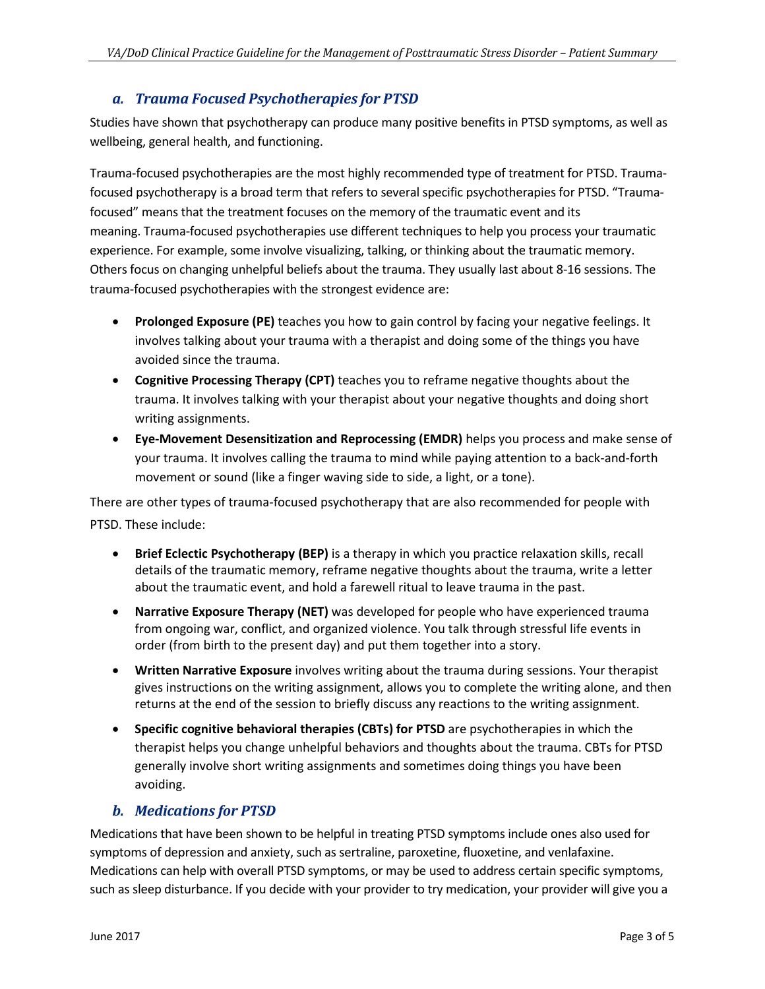#### *a. Trauma Focused Psychotherapies for PTSD*

Studies have shown that psychotherapy can produce many positive benefits in PTSD symptoms, as well as wellbeing, general health, and functioning.

Trauma-focused psychotherapies are the most highly recommended type of treatment for PTSD. Traumafocused psychotherapy is a broad term that refers to several specific psychotherapies for PTSD. "Traumafocused" means that the treatment focuses on the memory of the traumatic event and its meaning. Trauma-focused psychotherapies use different techniques to help you process your traumatic experience. For example, some involve visualizing, talking, or thinking about the traumatic memory. Others focus on changing unhelpful beliefs about the trauma. They usually last about 8-16 sessions. The trauma-focused psychotherapies with the strongest evidence are:

- **Prolonged Exposure (PE)** teaches you how to gain control by facing your negative feelings. It involves talking about your trauma with a therapist and doing some of the things you have avoided since the trauma.
- **Cognitive Processing Therapy (CPT)** teaches you to reframe negative thoughts about the trauma. It involves talking with your therapist about your negative thoughts and doing short writing assignments.
- **Eye-Movement Desensitization and Reprocessing (EMDR)** helps you process and make sense of your trauma. It involves calling the trauma to mind while paying attention to a back-and-forth movement or sound (like a finger waving side to side, a light, or a tone).

There are other types of trauma-focused psychotherapy that are also recommended for people with PTSD. These include:

- **Brief Eclectic Psychotherapy (BEP)** is a therapy in which you practice relaxation skills, recall details of the traumatic memory, reframe negative thoughts about the trauma, write a letter about the traumatic event, and hold a farewell ritual to leave trauma in the past.
- **Narrative Exposure Therapy (NET)** was developed for people who have experienced trauma from ongoing war, conflict, and organized violence. You talk through stressful life events in order (from birth to the present day) and put them together into a story.
- **Written Narrative Exposure** involves writing about the trauma during sessions. Your therapist gives instructions on the writing assignment, allows you to complete the writing alone, and then returns at the end of the session to briefly discuss any reactions to the writing assignment.
- **Specific cognitive behavioral therapies (CBTs) for PTSD** are psychotherapies in which the therapist helps you change unhelpful behaviors and thoughts about the trauma. CBTs for PTSD generally involve short writing assignments and sometimes doing things you have been avoiding.

#### *b. Medications for PTSD*

Medications that have been shown to be helpful in treating PTSD symptoms include ones also used for symptoms of depression and anxiety, such as sertraline, paroxetine, fluoxetine, and venlafaxine. Medications can help with overall PTSD symptoms, or may be used to address certain specific symptoms, such as sleep disturbance. If you decide with your provider to try medication, your provider will give you a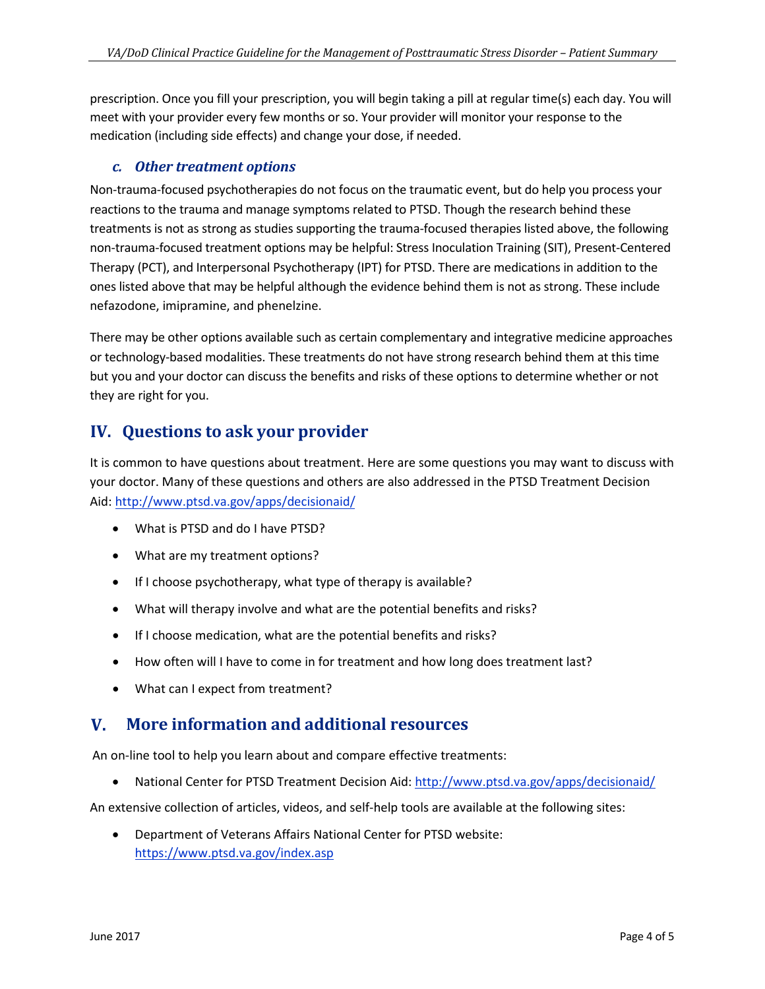prescription. Once you fill your prescription, you will begin taking a pill at regular time(s) each day. You will meet with your provider every few months or so. Your provider will monitor your response to the medication (including side effects) and change your dose, if needed.

#### *c. Other treatment options*

Non-trauma-focused psychotherapies do not focus on the traumatic event, but do help you process your reactions to the trauma and manage symptoms related to PTSD. Though the research behind these treatments is not as strong as studies supporting the trauma-focused therapies listed above, the following non-trauma-focused treatment options may be helpful: Stress Inoculation Training (SIT), Present-Centered Therapy (PCT), and Interpersonal Psychotherapy (IPT) for PTSD. There are medications in addition to the ones listed above that may be helpful although the evidence behind them is not as strong. These include nefazodone, imipramine, and phenelzine.

There may be other options available such as certain complementary and integrative medicine approaches or technology-based modalities. These treatments do not have strong research behind them at this time but you and your doctor can discuss the benefits and risks of these options to determine whether or not they are right for you.

## **IV. Questions to ask your provider**

It is common to have questions about treatment. Here are some questions you may want to discuss with your doctor. Many of these questions and others are also addressed in the PTSD Treatment Decision Aid: <http://www.ptsd.va.gov/apps/decisionaid/>

- What is PTSD and do I have PTSD?
- What are my treatment options?
- If I choose psychotherapy, what type of therapy is available?
- What will therapy involve and what are the potential benefits and risks?
- If I choose medication, what are the potential benefits and risks?
- How often will I have to come in for treatment and how long does treatment last?
- What can I expect from treatment?

## **V. More information and additional resources**

An on-line tool to help you learn about and compare effective treatments:

National Center for PTSD Treatment Decision Aid:<http://www.ptsd.va.gov/apps/decisionaid/>

An extensive collection of articles, videos, and self-help tools are available at the following sites:

• Department of Veterans Affairs National Center for PTSD website: <https://www.ptsd.va.gov/index.asp>